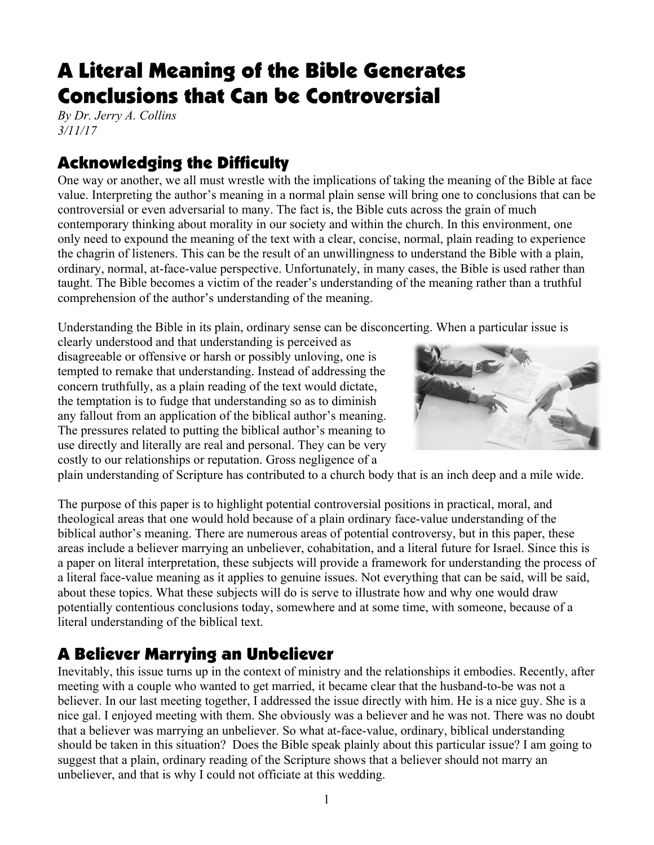# A Literal Meaning of the Bible Generates Conclusions that Can be Controversial

*By Dr. Jerry A. Collins 3/11/17*

## Acknowledging the Difficulty

One way or another, we all must wrestle with the implications of taking the meaning of the Bible at face value. Interpreting the author's meaning in a normal plain sense will bring one to conclusions that can be controversial or even adversarial to many. The fact is, the Bible cuts across the grain of much contemporary thinking about morality in our society and within the church. In this environment, one only need to expound the meaning of the text with a clear, concise, normal, plain reading to experience the chagrin of listeners. This can be the result of an unwillingness to understand the Bible with a plain, ordinary, normal, at-face-value perspective. Unfortunately, in many cases, the Bible is used rather than taught. The Bible becomes a victim of the reader's understanding of the meaning rather than a truthful comprehension of the author's understanding of the meaning.

Understanding the Bible in its plain, ordinary sense can be disconcerting. When a particular issue is

clearly understood and that understanding is perceived as disagreeable or offensive or harsh or possibly unloving, one is tempted to remake that understanding. Instead of addressing the concern truthfully, as a plain reading of the text would dictate, the temptation is to fudge that understanding so as to diminish any fallout from an application of the biblical author's meaning. The pressures related to putting the biblical author's meaning to use directly and literally are real and personal. They can be very costly to our relationships or reputation. Gross negligence of a



plain understanding of Scripture has contributed to a church body that is an inch deep and a mile wide.

The purpose of this paper is to highlight potential controversial positions in practical, moral, and theological areas that one would hold because of a plain ordinary face-value understanding of the biblical author's meaning. There are numerous areas of potential controversy, but in this paper, these areas include a believer marrying an unbeliever, cohabitation, and a literal future for Israel. Since this is a paper on literal interpretation, these subjects will provide a framework for understanding the process of a literal face-value meaning as it applies to genuine issues. Not everything that can be said, will be said, about these topics. What these subjects will do is serve to illustrate how and why one would draw potentially contentious conclusions today, somewhere and at some time, with someone, because of a literal understanding of the biblical text.

## A Believer Marrying an Unbeliever

Inevitably, this issue turns up in the context of ministry and the relationships it embodies. Recently, after meeting with a couple who wanted to get married, it became clear that the husband-to-be was not a believer. In our last meeting together, I addressed the issue directly with him. He is a nice guy. She is a nice gal. I enjoyed meeting with them. She obviously was a believer and he was not. There was no doubt that a believer was marrying an unbeliever. So what at-face-value, ordinary, biblical understanding should be taken in this situation? Does the Bible speak plainly about this particular issue? I am going to suggest that a plain, ordinary reading of the Scripture shows that a believer should not marry an unbeliever, and that is why I could not officiate at this wedding.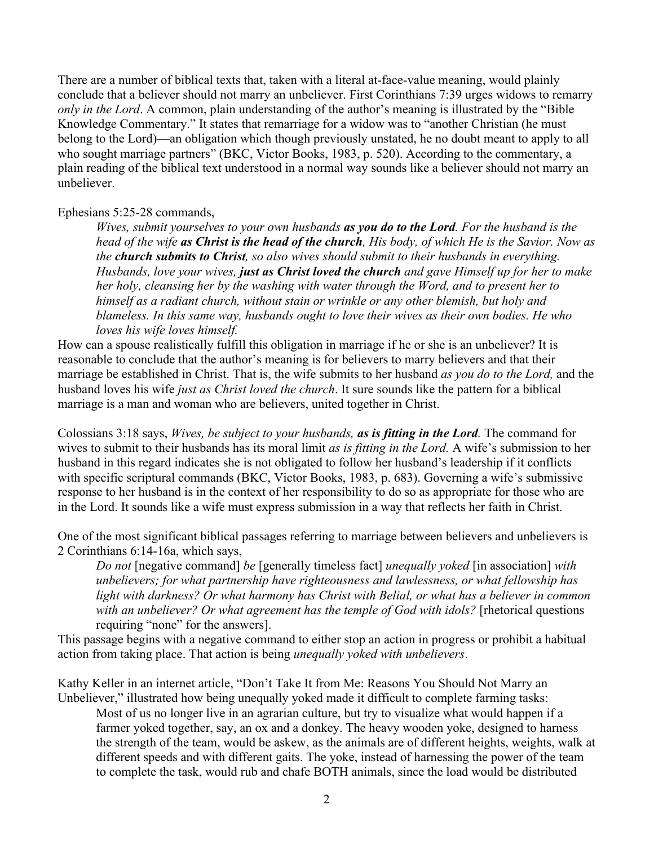There are a number of biblical texts that, taken with a literal at-face-value meaning, would plainly conclude that a believer should not marry an unbeliever. First Corinthians 7:39 urges widows to remarry *only in the Lord*. A common, plain understanding of the author's meaning is illustrated by the "Bible Knowledge Commentary." It states that remarriage for a widow was to "another Christian (he must belong to the Lord)—an obligation which though previously unstated, he no doubt meant to apply to all who sought marriage partners" (BKC, Victor Books, 1983, p. 520). According to the commentary, a plain reading of the biblical text understood in a normal way sounds like a believer should not marry an unbeliever.

#### Ephesians 5:25-28 commands,

*Wives, submit yourselves to your own husbands as you do to the Lord. For the husband is the head of the wife as Christ is the head of the church, His body, of which He is the Savior. Now as the church submits to Christ, so also wives should submit to their husbands in everything. Husbands, love your wives, just as Christ loved the church and gave Himself up for her to make her holy, cleansing her by the washing with water through the Word, and to present her to himself as a radiant church, without stain or wrinkle or any other blemish, but holy and blameless. In this same way, husbands ought to love their wives as their own bodies. He who loves his wife loves himself.*

How can a spouse realistically fulfill this obligation in marriage if he or she is an unbeliever? It is reasonable to conclude that the author's meaning is for believers to marry believers and that their marriage be established in Christ. That is, the wife submits to her husband *as you do to the Lord,* and the husband loves his wife *just as Christ loved the church*. It sure sounds like the pattern for a biblical marriage is a man and woman who are believers, united together in Christ.

Colossians 3:18 says, *Wives, be subject to your husbands, as is fitting in the Lord.* The command for wives to submit to their husbands has its moral limit *as is fitting in the Lord.* A wife's submission to her husband in this regard indicates she is not obligated to follow her husband's leadership if it conflicts with specific scriptural commands (BKC, Victor Books, 1983, p. 683). Governing a wife's submissive response to her husband is in the context of her responsibility to do so as appropriate for those who are in the Lord. It sounds like a wife must express submission in a way that reflects her faith in Christ.

One of the most significant biblical passages referring to marriage between believers and unbelievers is 2 Corinthians 6:14-16a, which says,

*Do not* [negative command] *be* [generally timeless fact] *unequally yoked* [in association] *with unbelievers; for what partnership have righteousness and lawlessness, or what fellowship has light with darkness? Or what harmony has Christ with Belial, or what has a believer in common with an unbeliever? Or what agreement has the temple of God with idols?* [rhetorical questions requiring "none" for the answers].

This passage begins with a negative command to either stop an action in progress or prohibit a habitual action from taking place. That action is being *unequally yoked with unbelievers*.

Kathy Keller in an internet article, "Don't Take It from Me: Reasons You Should Not Marry an Unbeliever," illustrated how being unequally yoked made it difficult to complete farming tasks:

Most of us no longer live in an agrarian culture, but try to visualize what would happen if a farmer yoked together, say, an ox and a donkey. The heavy wooden yoke, designed to harness the strength of the team, would be askew, as the animals are of different heights, weights, walk at different speeds and with different gaits. The yoke, instead of harnessing the power of the team to complete the task, would rub and chafe BOTH animals, since the load would be distributed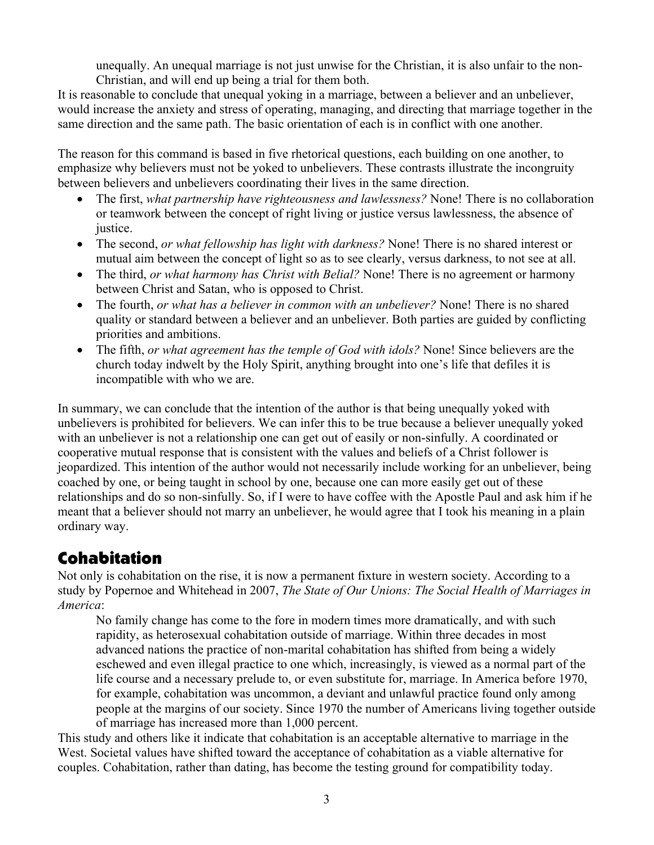unequally. An unequal marriage is not just unwise for the Christian, it is also unfair to the non-Christian, and will end up being a trial for them both.

It is reasonable to conclude that unequal yoking in a marriage, between a believer and an unbeliever, would increase the anxiety and stress of operating, managing, and directing that marriage together in the same direction and the same path. The basic orientation of each is in conflict with one another.

The reason for this command is based in five rhetorical questions, each building on one another, to emphasize why believers must not be yoked to unbelievers. These contrasts illustrate the incongruity between believers and unbelievers coordinating their lives in the same direction.

- The first, *what partnership have righteousness and lawlessness?* None! There is no collaboration or teamwork between the concept of right living or justice versus lawlessness, the absence of justice.
- The second, *or what fellowship has light with darkness?* None! There is no shared interest or mutual aim between the concept of light so as to see clearly, versus darkness, to not see at all.
- The third, *or what harmony has Christ with Belial?* None! There is no agreement or harmony between Christ and Satan, who is opposed to Christ.
- The fourth, *or what has a believer in common with an unbeliever?* None! There is no shared quality or standard between a believer and an unbeliever. Both parties are guided by conflicting priorities and ambitions.
- The fifth, *or what agreement has the temple of God with idols?* None! Since believers are the church today indwelt by the Holy Spirit, anything brought into one's life that defiles it is incompatible with who we are.

In summary, we can conclude that the intention of the author is that being unequally yoked with unbelievers is prohibited for believers. We can infer this to be true because a believer unequally yoked with an unbeliever is not a relationship one can get out of easily or non-sinfully. A coordinated or cooperative mutual response that is consistent with the values and beliefs of a Christ follower is jeopardized. This intention of the author would not necessarily include working for an unbeliever, being coached by one, or being taught in school by one, because one can more easily get out of these relationships and do so non-sinfully. So, if I were to have coffee with the Apostle Paul and ask him if he meant that a believer should not marry an unbeliever, he would agree that I took his meaning in a plain ordinary way.

## Cohabitation

Not only is cohabitation on the rise, it is now a permanent fixture in western society. According to a study by Popernoe and Whitehead in 2007, *The State of Our Unions: The Social Health of Marriages in America*:

No family change has come to the fore in modern times more dramatically, and with such rapidity, as heterosexual cohabitation outside of marriage. Within three decades in most advanced nations the practice of non-marital cohabitation has shifted from being a widely eschewed and even illegal practice to one which, increasingly, is viewed as a normal part of the life course and a necessary prelude to, or even substitute for, marriage. In America before 1970, for example, cohabitation was uncommon, a deviant and unlawful practice found only among people at the margins of our society. Since 1970 the number of Americans living together outside of marriage has increased more than 1,000 percent.

This study and others like it indicate that cohabitation is an acceptable alternative to marriage in the West. Societal values have shifted toward the acceptance of cohabitation as a viable alternative for couples. Cohabitation, rather than dating, has become the testing ground for compatibility today.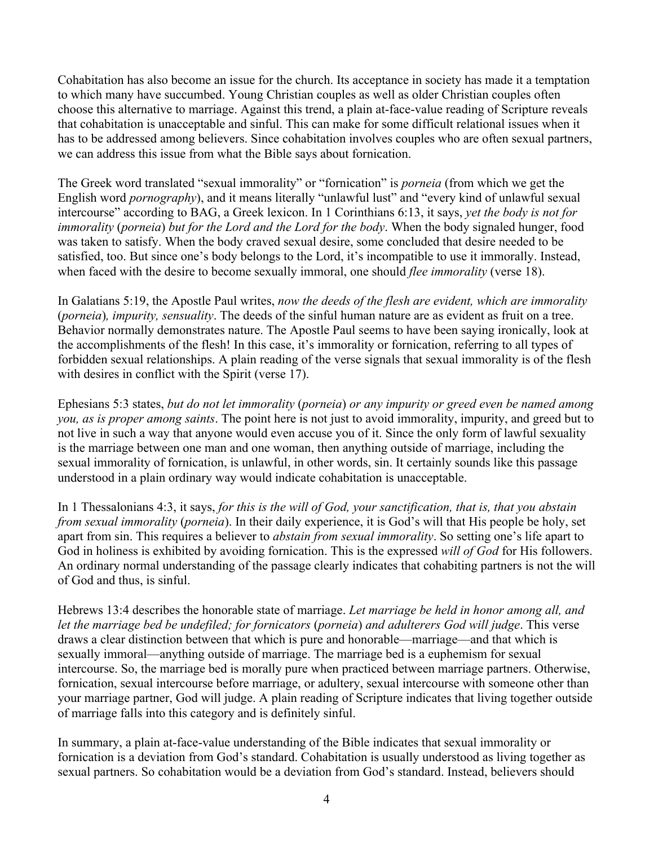Cohabitation has also become an issue for the church. Its acceptance in society has made it a temptation to which many have succumbed. Young Christian couples as well as older Christian couples often choose this alternative to marriage. Against this trend, a plain at-face-value reading of Scripture reveals that cohabitation is unacceptable and sinful. This can make for some difficult relational issues when it has to be addressed among believers. Since cohabitation involves couples who are often sexual partners, we can address this issue from what the Bible says about fornication.

The Greek word translated "sexual immorality" or "fornication" is *porneia* (from which we get the English word *pornography*), and it means literally "unlawful lust" and "every kind of unlawful sexual intercourse" according to BAG, a Greek lexicon. In 1 Corinthians 6:13, it says, *yet the body is not for immorality* (*porneia*) *but for the Lord and the Lord for the body*. When the body signaled hunger, food was taken to satisfy. When the body craved sexual desire, some concluded that desire needed to be satisfied, too. But since one's body belongs to the Lord, it's incompatible to use it immorally. Instead, when faced with the desire to become sexually immoral, one should *flee immorality* (verse 18).

In Galatians 5:19, the Apostle Paul writes, *now the deeds of the flesh are evident, which are immorality* (*porneia*)*, impurity, sensuality*. The deeds of the sinful human nature are as evident as fruit on a tree. Behavior normally demonstrates nature. The Apostle Paul seems to have been saying ironically, look at the accomplishments of the flesh! In this case, it's immorality or fornication, referring to all types of forbidden sexual relationships. A plain reading of the verse signals that sexual immorality is of the flesh with desires in conflict with the Spirit (verse 17).

Ephesians 5:3 states, *but do not let immorality* (*porneia*) *or any impurity or greed even be named among you, as is proper among saints*. The point here is not just to avoid immorality, impurity, and greed but to not live in such a way that anyone would even accuse you of it. Since the only form of lawful sexuality is the marriage between one man and one woman, then anything outside of marriage, including the sexual immorality of fornication, is unlawful, in other words, sin. It certainly sounds like this passage understood in a plain ordinary way would indicate cohabitation is unacceptable.

In 1 Thessalonians 4:3, it says, *for this is the will of God, your sanctification, that is, that you abstain from sexual immorality* (*porneia*). In their daily experience, it is God's will that His people be holy, set apart from sin. This requires a believer to *abstain from sexual immorality*. So setting one's life apart to God in holiness is exhibited by avoiding fornication. This is the expressed *will of God* for His followers. An ordinary normal understanding of the passage clearly indicates that cohabiting partners is not the will of God and thus, is sinful.

Hebrews 13:4 describes the honorable state of marriage. *Let marriage be held in honor among all, and let the marriage bed be undefiled; for fornicators* (*porneia*) *and adulterers God will judge*. This verse draws a clear distinction between that which is pure and honorable—marriage—and that which is sexually immoral—anything outside of marriage. The marriage bed is a euphemism for sexual intercourse. So, the marriage bed is morally pure when practiced between marriage partners. Otherwise, fornication, sexual intercourse before marriage, or adultery, sexual intercourse with someone other than your marriage partner, God will judge. A plain reading of Scripture indicates that living together outside of marriage falls into this category and is definitely sinful.

In summary, a plain at-face-value understanding of the Bible indicates that sexual immorality or fornication is a deviation from God's standard. Cohabitation is usually understood as living together as sexual partners. So cohabitation would be a deviation from God's standard. Instead, believers should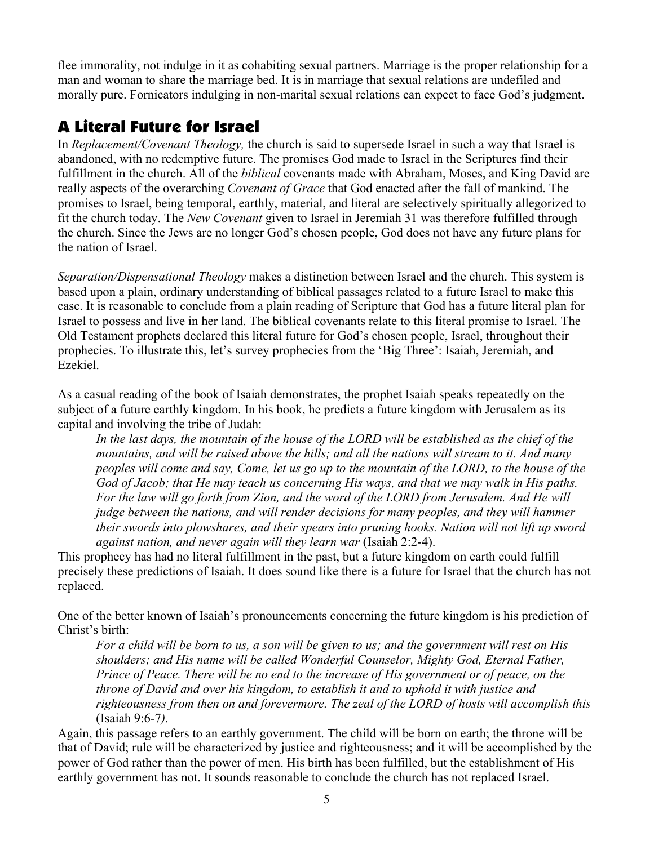flee immorality, not indulge in it as cohabiting sexual partners. Marriage is the proper relationship for a man and woman to share the marriage bed. It is in marriage that sexual relations are undefiled and morally pure. Fornicators indulging in non-marital sexual relations can expect to face God's judgment.

### A Literal Future for Israel

In *Replacement/Covenant Theology,* the church is said to supersede Israel in such a way that Israel is abandoned, with no redemptive future. The promises God made to Israel in the Scriptures find their fulfillment in the church. All of the *biblical* covenants made with Abraham, Moses, and King David are really aspects of the overarching *Covenant of Grace* that God enacted after the fall of mankind. The promises to Israel, being temporal, earthly, material, and literal are selectively spiritually allegorized to fit the church today. The *New Covenant* given to Israel in Jeremiah 31 was therefore fulfilled through the church. Since the Jews are no longer God's chosen people, God does not have any future plans for the nation of Israel.

*Separation/Dispensational Theology* makes a distinction between Israel and the church. This system is based upon a plain, ordinary understanding of biblical passages related to a future Israel to make this case. It is reasonable to conclude from a plain reading of Scripture that God has a future literal plan for Israel to possess and live in her land. The biblical covenants relate to this literal promise to Israel. The Old Testament prophets declared this literal future for God's chosen people, Israel, throughout their prophecies. To illustrate this, let's survey prophecies from the 'Big Three': Isaiah, Jeremiah, and Ezekiel.

As a casual reading of the book of Isaiah demonstrates, the prophet Isaiah speaks repeatedly on the subject of a future earthly kingdom. In his book, he predicts a future kingdom with Jerusalem as its capital and involving the tribe of Judah:

*In the last days, the mountain of the house of the LORD will be established as the chief of the mountains, and will be raised above the hills; and all the nations will stream to it. And many peoples will come and say, Come, let us go up to the mountain of the LORD, to the house of the God of Jacob; that He may teach us concerning His ways, and that we may walk in His paths. For the law will go forth from Zion, and the word of the LORD from Jerusalem. And He will judge between the nations, and will render decisions for many peoples, and they will hammer their swords into plowshares, and their spears into pruning hooks. Nation will not lift up sword against nation, and never again will they learn war* (Isaiah 2:2-4).

This prophecy has had no literal fulfillment in the past, but a future kingdom on earth could fulfill precisely these predictions of Isaiah. It does sound like there is a future for Israel that the church has not replaced.

One of the better known of Isaiah's pronouncements concerning the future kingdom is his prediction of Christ's birth:

*For a child will be born to us, a son will be given to us; and the government will rest on His shoulders; and His name will be called Wonderful Counselor, Mighty God, Eternal Father, Prince of Peace. There will be no end to the increase of His government or of peace, on the throne of David and over his kingdom, to establish it and to uphold it with justice and righteousness from then on and forevermore. The zeal of the LORD of hosts will accomplish this*  (Isaiah 9:6-7*).*

Again, this passage refers to an earthly government. The child will be born on earth; the throne will be that of David; rule will be characterized by justice and righteousness; and it will be accomplished by the power of God rather than the power of men. His birth has been fulfilled, but the establishment of His earthly government has not. It sounds reasonable to conclude the church has not replaced Israel.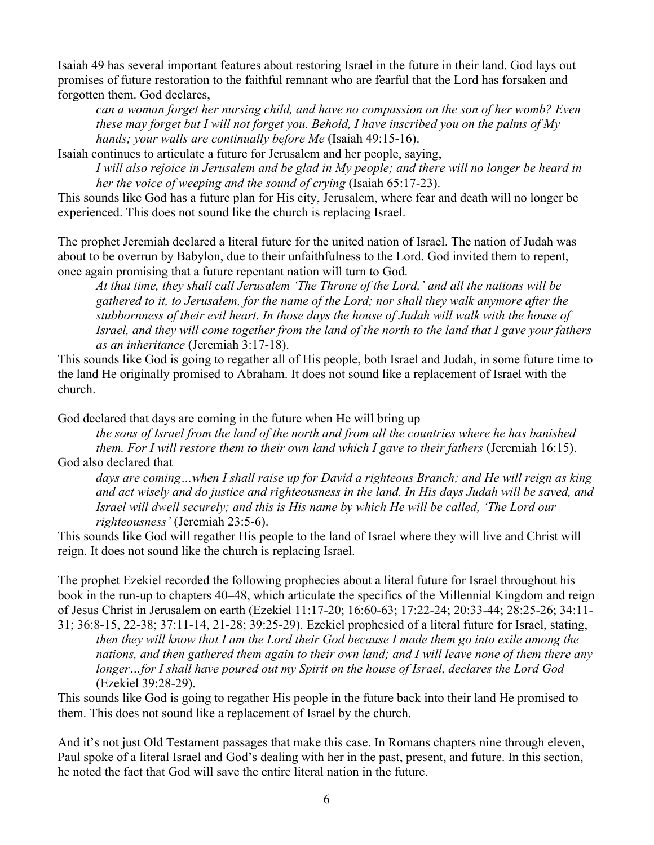Isaiah 49 has several important features about restoring Israel in the future in their land. God lays out promises of future restoration to the faithful remnant who are fearful that the Lord has forsaken and forgotten them. God declares,

*can a woman forget her nursing child, and have no compassion on the son of her womb? Even these may forget but I will not forget you. Behold, I have inscribed you on the palms of My hands; your walls are continually before Me* (Isaiah 49:15-16).

Isaiah continues to articulate a future for Jerusalem and her people, saying,

*I will also rejoice in Jerusalem and be glad in My people; and there will no longer be heard in her the voice of weeping and the sound of crying* (Isaiah 65:17-23).

This sounds like God has a future plan for His city, Jerusalem, where fear and death will no longer be experienced. This does not sound like the church is replacing Israel.

The prophet Jeremiah declared a literal future for the united nation of Israel. The nation of Judah was about to be overrun by Babylon, due to their unfaithfulness to the Lord. God invited them to repent, once again promising that a future repentant nation will turn to God.

*At that time, they shall call Jerusalem 'The Throne of the Lord,' and all the nations will be gathered to it, to Jerusalem, for the name of the Lord; nor shall they walk anymore after the stubbornness of their evil heart. In those days the house of Judah will walk with the house of Israel, and they will come together from the land of the north to the land that I gave your fathers as an inheritance* (Jeremiah 3:17-18).

This sounds like God is going to regather all of His people, both Israel and Judah, in some future time to the land He originally promised to Abraham. It does not sound like a replacement of Israel with the church.

God declared that days are coming in the future when He will bring up

*the sons of Israel from the land of the north and from all the countries where he has banished them. For I will restore them to their own land which I gave to their fathers (Jeremiah 16:15).* God also declared that

*days are coming…when I shall raise up for David a righteous Branch; and He will reign as king and act wisely and do justice and righteousness in the land. In His days Judah will be saved, and Israel will dwell securely; and this is His name by which He will be called, 'The Lord our righteousness'* (Jeremiah 23:5-6).

This sounds like God will regather His people to the land of Israel where they will live and Christ will reign. It does not sound like the church is replacing Israel.

The prophet Ezekiel recorded the following prophecies about a literal future for Israel throughout his book in the run-up to chapters 40–48, which articulate the specifics of the Millennial Kingdom and reign of Jesus Christ in Jerusalem on earth (Ezekiel 11:17-20; 16:60-63; 17:22-24; 20:33-44; 28:25-26; 34:11-

31; 36:8-15, 22-38; 37:11-14, 21-28; 39:25-29). Ezekiel prophesied of a literal future for Israel, stating, *then they will know that I am the Lord their God because I made them go into exile among the nations, and then gathered them again to their own land; and I will leave none of them there any longer…for I shall have poured out my Spirit on the house of Israel, declares the Lord God*  (Ezekiel 39:28-29).

This sounds like God is going to regather His people in the future back into their land He promised to them. This does not sound like a replacement of Israel by the church.

And it's not just Old Testament passages that make this case. In Romans chapters nine through eleven, Paul spoke of a literal Israel and God's dealing with her in the past, present, and future. In this section, he noted the fact that God will save the entire literal nation in the future.